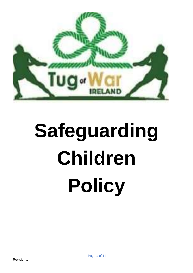

# **Safeguarding Children Policy**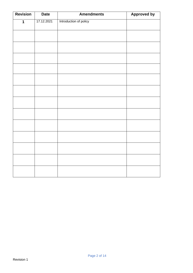| <b>Revision</b> | <b>Date</b> | <b>Amendments</b>      | <b>Approved by</b> |
|-----------------|-------------|------------------------|--------------------|
| $\mathbf 1$     | 17.12.2021  | Introduction of policy |                    |
|                 |             |                        |                    |
|                 |             |                        |                    |
|                 |             |                        |                    |
|                 |             |                        |                    |
|                 |             |                        |                    |
|                 |             |                        |                    |
|                 |             |                        |                    |
|                 |             |                        |                    |
|                 |             |                        |                    |
|                 |             |                        |                    |
|                 |             |                        |                    |
|                 |             |                        |                    |
|                 |             |                        |                    |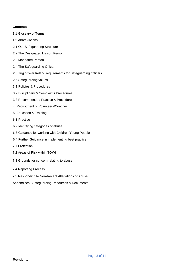## **Contents**

- 1.1 Glossary of Terms
- 1.2 Abbreviations
- 2.1 Our Safeguarding Structure
- 2.2 The Designated Liaison Person
- 2.3 Mandated Person
- 2.4 The Safeguarding Officer
- 2.5 Tug of War Ireland requirements for Safeguarding Officers
- 2.6 Safeguarding values
- 3.1 Policies & Procedures
- 3.2 Disciplinary & Complaints Procedures
- 3.3 Recommended Practice & Procedures
- 4. Recruitment of Volunteers/Coaches
- 5. Education & Training
- 6.1 Practice
- 6.2 Identifying categories of abuse
- 6.3 Guidance for working with Children/Young People
- 6.4 Further Guidance in implementing best practice
- 7.1 Protection
- 7.2 Areas of Risk within TOWI
- 7.3 Grounds for concern relating to abuse
- 7.4 Reporting Process
- 7.5 Responding to Non-Recent Allegations of Abuse
- Appendices : Safeguarding Resources & Documents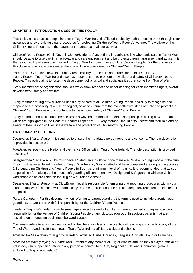## **CHAPTER 1 – INTRODUCTION & USE OF THIS POLICY**

This policy aims to assist people in roles in Tug of War Ireland affiliated bodies by both protecting them through clear guidance and by providing clear procedures for protecting Children's/Young People's welfare. The welfare of the Children/Young People is of the paramount importance in all our activities.

Children/Young People (Child/Juvenile/Junior/Underage) as defined in applicable law who participate in Tug of War should be able to take part in an enjoyable and safe environment and be protected from harassment and abuse. It is the responsibility of everyone involved in Tug of War to protect these Children/Young People. For the purposes of this document, all individuals under the age of 18 are considered as Children/Young People.

Parents and Guardians have the primary responsibility for the care and protection of their Children/ Young People. Tug of War Ireland also has a duty of care to promote the welfare and safety of Children/ Young People. This policy aims to foster the development of physical and social qualities that come from Tug of War.

Every member of the organisation should always show respect and understanding for each member's rights, overall development, safety and welfare.

Every member of Tug of War Ireland has a duty of care to all Children/Young People and duty to recognise and respond to the possibility of abuse or neglect, so as to ensure that the most effective steps are taken to protect the Children/Young People and to contribute to the ongoing safety of Children/Young People.

Every member should conduct themselves in a way that embraces the ethos and principles of Tug of War Ireland, which are highlighted in the Code of Conduct (Appendix 3). Every member should also understand their role and be aware of their responsibilities in the welfare and protection of Children/Young People.

## **1.1. GLOSSARY OF TERMS**

*Designated Liaison Person* – is required to ensure the mandated person reports any concerns. The role description is provided in section 2.2

*Mandated person* – is the National Governance Officer within Tug of War Ireland. The role description is provided in section 2.3

*Safeguarding Officer* – all clubs must have a Safeguarding Officer once there are Children/Young People in the club. They must be an affiliated member of Tug of War Ireland, Garda vetted and have completed a Safeguarding course 1/Safeguarding Children and Young People in Sport as a minimum level of training. It is recommended that as soon as possible after taking up their post, safeguarding officers attend two Designated Safeguarding Children Officer workshops which are listed on the Tug of War Ireland website.

*Designated Liaison Person* – at Club/Branch level is responsible for ensuring that reporting procedures within your club are followed. The chair will automatically assume the role if no one can be adequately recruited or selected for the position.

*Parent/Guardian* - For this document when referring to parent/guardian, the term is used to include parents, legal guardians, and/or carer, with full responsibility for the Children/Young People.

*Leader* – Tug of War Ireland coaches/managers/selectors and all adults who are appointed and agree to accept responsibility for the welfare of Children/Young People of any club/squad/group. In addition, parents that are assisting on an ongoing basis must be Garda vetted.

*Coaches* – refers to any individual, including teachers, involved in the practice of teaching and coaching any of the Tug of War Ireland disciplines through Tug of War Ireland affiliated clubs and schools.

*Affiliated Bodies* – refers to Tug of War Ireland affiliated Clubs, Counties, Leagues, Officials Group or Branches.

*Affiliated Member (Playing or Committee)* – refers to any member of Tug of War Ireland, be they a player, official or volunteer, where specified refers to any person appointed to a Club, Regional or National Committee (who is affiliated to Tug of War Ireland).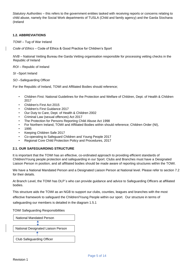*Statutory Authorities* – this refers to the government entities tasked with receiving reports or concerns relating to child abuse, namely the Social Work departments of TUSLA (Child and family agency) and the Garda Síochana (Ireland

## **1.2. ABBREVIATIONS**

*TOWI* – Tug of War Ireland

*Code of Ethics* – Code of Ethics & Good Practice for Children's Sport

*NVB* – National Vetting Bureau the Garda Vetting organisation responsible for processing vetting checks in the Republic of Ireland

*ROI* – Republic of Ireland

*SI* –Sport Ireland

*SO* –Safeguarding Officer

For the Republic of Ireland, TOWI and Affiliated Bodies should reference;

- Children First: National Guidelines for the Protection and Welfare of Children, Dept. of Health & Children 2017
- Children's First Act 2015
- Children's First Guidance 2017
- Our Duty to Care, Dept. of Health & Children 2002
- Criminal Law (sexual offences) Act 2017
- The Protection for Persons Reporting Child Abuse Act 1998
- For Northern Ireland, TOWI and Affiliated Bodies within should reference; Children Order (NI),
- 1995
- Keeping Children Safe 2017
- Co-operating to Safeguard Children and Young People 2017
- Regional Core Child Protection Policy and Procedures, 2017

## **2.1. OUR SAFEGUARDING STRUCTURE**

It is important that the TOWI has an effective, co-ordinated approach to providing efficient standards of Children/Young people protection and safeguarding in our Sport. Clubs and Branches must have a Designated Liaison Person in position, and all affiliated bodies should be made aware of reporting structures within the TOWI.

We have a National Mandated Person and a Designated Liaison Person at National level. Please refer to section 7.2 for their details.

At Branch Level, the TOWI has DLP`s who can provide guidance and advice to Safeguarding Officers at affiliated bodies.

This structure aids the TOWI as an NGB to support our clubs, counties, leagues and branches with the most

effective framework to safeguard the Children/Young People within our sport. Our structure in terms of

safeguarding our members is detailed in the diagram 1.5.1

TOWI Safeguarding Responsibilities

| National Mandated Person           |  |  |  |
|------------------------------------|--|--|--|
|                                    |  |  |  |
| National Designated Liaison Person |  |  |  |
|                                    |  |  |  |
| <b>Club Safeguarding Officer</b>   |  |  |  |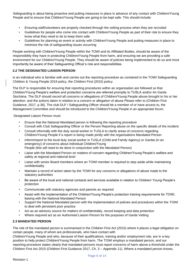Safeguarding is about being proactive and putting measures in place in advance of any contact with Children/Young People and to ensure that Children/Young People are going to be kept safe. This should include:

- Ensuring staff/volunteers are properly checked through the vetting process when they are recruited
- Guidelines for people who come into contact with Children/Young People as part of their role to ensure they know what they need to do to keep them safe
- Guidelines for planning an event or activity with Children/Young People and putting measures in place to minimize the risk of safeguarding issues occurring

People working with Children/Young People within the TOWI and its Affiliated Bodies, should be aware of the responsibility they have in protecting Children/Young People from harm, and ensuring we are providing a safe environment for our Children/Young People. They should be aware of policies being implemented to do so and most importantly be aware of their Safeguarding Officer's role and responsibilities.

## **2.2 THE DESIGNATED LIAISON PERSON**

Is an individual who is familiar with and carries out the reporting procedure as contained in the TOWI Safeguarding Children & Young People 2019 policy, the Children First (2015) policy.

The DLP is responsible for ensuring that reporting procedures within an organisation are followed so that Children/Young People's welfare and protection concerns are referred promptly to TUSLA and/or An Garda Siochána. The DLP should record all concerns or allegations of Children/Young People abuse brought to his or her attention, and the actions taken in relation to a concern or allegation of abuse Please refer to (Children First Guidance, 2017, p.36). The club DLP / Safeguarding Officer should be a member of or have access to, the Management Committee and should be introduced to the Children/Young People in an appropriate forum.

Designated Liaison Person must:

- Ensure that the National Mandated person is following the reporting procedure
- Consult with Club Safeguarding Officer or the Person Reporting abuse on the specific details of the incident.
- Consult informally with the duty social worker in TUSLA to clarify areas of concerns regarding Children/Young People if a report is being made jointly with the organisations Mandated Person
- Inform/report to the local duty social worker in TUSLA (Child and Family Agency) or Gardai (in an emergency) of concerns about individual Children/Young People (this will need to be done in conjunction with the Mandated Person)
- Liaise with the Mandated Person on matters of concern regarding Children/Young People's welfare and safety at regional and national level
- Liaise with senior Board members where an TOWI member is required to step aside while maintaining confidentiality
- Maintain a record of action taken by the TOWI for any concerns or allegations of abuse made to the statutory authorities
- Be aware of the local and national contacts and services available in relation to Children/ Young People's protection
- Communicate with statutory agencies and parents as required
- Assist with the implementation of the Children/Young People's protection training requirements for TOWI, liaising with the National Mandated Person
- Support the National Mandated person with the implementation of policies and procedures within the TOWI to deal with persistent poor practice
- Act as an advisory source for matters of confidentiality, record keeping and data protection
- Where required act as an Authorised Liaison Person for the purposes of Garda Vetting

## **2.3 MANDATED PERSON**

The role of the mandated person is summarised in the Children First Act (2015) where it places a legal obligation on certain people, many of whom are professionals, who have contact with

Children/Young People and who, because of their qualifications, training and/or employment role, are in a key position to help protect Children/Young People from harm. The TOWI employs a mandated person, and our reporting procedure states clearly that mandated persons must report concerns of harm above a threshold under the Children First Act 2015 (Children First Guidance 2017, Ch. 3 – Appendix 11). Where a mandated person knows,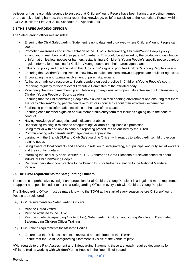believes or has reasonable grounds to suspect that Children/Young People have been harmed, are being harmed, or are at risk of being harmed, they must report that knowledge, belief or suspicion to the Authorised Person within TUSLA. (Children First Act 2015, Schedule 2 – Appendix 14).

# **2.4 THE SAFEGUARDING OFFICER**

The Safeguarding officer role includes:

- Ensuring the Child Safeguarding Statement is up to date and displayed where Children/Young People can see it.
- Promoting awareness and implementation of the TOWI's Safeguarding Children/Young People policy among young members and their parents/guardians. This could be achieved by the production / distribution of information leaflets, notices or banners, establishing a Children's/Young People`s specific notice board, or regular information meetings for Children/Young people and their parents/guardians
- Influencing policy and practice within the club/county/league to prioritize Children's/Young People's needs
- Ensuring that Children/Young People know how to make concerns known to appropriate adults or agencies.
- Encouraging the appropriate involvement of parents/guardians.
- Acting as an advisory resource to Sports Leaders on best practice in Children's/Young People's sport
- Reporting regularly to their relevant Executive Committee of the affiliated body
- Monitoring changes in membership and following up any unusual dropout, absenteeism or club transfers by Children/Young People or Sports Leaders
- Ensuring that the Children/Young People have a voice in their sporting environment and ensuring that there are steps Children/Young people can take to express concerns about their activities / experiences.
- Facilitating parents' information sessions at the start of the season.
- Ensuring each member signs an annual membership/entry form that includes signing up to the code of conduct
- Having knowledge of categories and indicators of abuse
- Undertaking training in relation to safeguarding/Children/Young People's protection
- Being familiar with and able to carry out reporting procedures as outlined by the TOWI
- Communicating with parents and/or agencies as appropriate
- Liaising with the Branch DLP and Club Safeguarding Officer with regards to safeguarding/child protection training needs
- Being aware of local contacts and services in relation to safeguarding, e.g. principal and duty social workers and their contact details.
- Informing the local duty social worker in TUSLA and/or an Garda Síochána of relevant concerns about individual Children/Young People
- Reporting persistent poor practice to the Branch DLP for further escalation to the National Mandated Person.

## **2.5 The TOWI requirements for Safeguarding Officers**

To ensure comprehensive oversight and protection for all Children/Young People, it is a legal and moral requirement to appoint a responsible adult to act as a Safeguarding Officer in every club with Children/Young People.

The Safeguarding Officer must be made known to the TOWI at the start of every season before Children/Young People are registered.

Key TOWI requirements for Safeguarding Officers:

- 1. Must be Garda vetted
- 2. Must be affiliated to the TOWI
- 3. Must complete Safeguarding 1 (2 to follow), Safeguarding Children and Young People and Designated Safeguarding Children Officer Training

Key TOWI Ireland requirements for Affiliated Bodies

- 4. Ensure that the Risk assessment is reviewed and confirmed to the TOWI\*
- 5. Ensure that the Child Safeguarding Statement is visible at the venue of play\*

\*With regards to the Risk Assessment and Safeguarding Statement, these are legally required documents for Affiliated Bodies working with Children/Young People in the Republic of Ireland.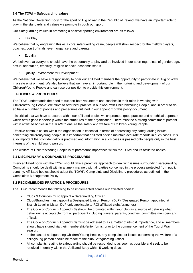## **2.6 The TOWI – Safeguarding values**

As the National Governing Body for the sport of Tug of war in the Republic of Ireland, we have an important role to play in the standards and values we promote through our sport.

Our Safeguarding values in promoting a positive sporting environment are as follows:

• Fair Play

We believe that by engraining this as a core safeguarding value, people will show respect for their fellow players, coaches, court officials, event organisers and parents.

• Equality

We believe that everyone should have the opportunity to play and be involved in our sport regardless of gender, age, sexual orientation, ethnicity, religion or socio-economic status.

• Quality Environment for Development

We believe that we have a responsibility to offer our affiliated members the opportunity to participate in Tug of Waw in a safe environment. We also believe that we have an important role in the nurturing and development of our Children/Young People and can use our position to provide this environment.

## **3. POLICIES & PROCEDURES**

The TOWI understands the need to support both volunteers and coaches in their roles in working with Children/Young People. We strive to offer best practice in our work with Children/Young People, and in order to do so have a number of policies and procedures outlined in our appendix of this policy document.

It is critical that we have structures within our affiliated bodies which promote good practice and an ethical approach which offers good leadership within the structures of the organisation. There must be a strong commitment present within affiliated bodies in the TOWI to ensure the safety and welfare of Children/Young People.

Effective communication within the organisation is essential in terms of addressing any safeguarding issues concerning children/young people. It is important that affiliated bodies maintain accurate records in such cases. It is also important that confidentiality is practised and information in such cases is passed onto people only in the best interests of the child/young person.

The welfare of Children/Young People is of paramount importance within the TOWI and its affiliated bodies.

## **3.1 DISCIPLINARY & COMPLAINTS PROCEDURES**

Every affiliated body with the TOWI should take a proactive approach to deal with issues surrounding safeguarding. Complaints should be dealt with in a timely manner, with all parties concerned in the process protected from public scrutiny. Affiliated bodies should adopt the TOWI's Complaints and Disciplinary procedures as outlined in the Complaints Management Policy.

## **3.2 RECOMMENDED PRACTICE & PROCEDURES**

The TOWI recommends the following to be implemented across our affiliated bodies:

- Clubs & Counties must appoint a Safeguarding Officer
- Clubs/Branches must appoint a Designated Liaison Person (DLP) (Designated Person appointed at Branch Level in Ulster, DLP only applicable to ROI affiliated clubs/branches)
- The Code of Conduct (Appendix 3) should be promoted within your club as a source of detailing what behaviour is acceptable from all participant including players, parents, coaches, committee members and officials.
- The Code of Conduct (Appendix 3) must be adhered to as a matter of utmost importance, and all members should have signed via their membership/entry forms, prior to the commencement of the Tug of War season.
- In the case of safeguarding Children/Young People, any complaints or issues concerning the welfare of a child/young person should be made to the club Safeguarding Officer.
- All complaints relating to safeguarding should be responded to as soon as possible and seek to be resolved internally within the Affiliated Body within 5 working days.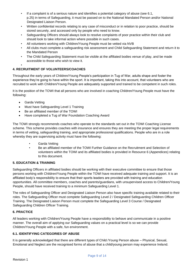- If a complaint is of a serious nature and identifies a potential category of abuse (see 6.1, p.25) in terms of Safeguarding, it must be passed on to the National Mandated Person and/or National Designated Liaison Person.
- Written confidential records relating to any case of misconduct or in relation to poor practice, should be stored securely, and accessed only by people who need to know.
- Safeguarding Officers should always look to resolve complaints of poor practice within their club and should look to take informal action where possible in such cases.
- All volunteers working with Children/Young People must be vetted via NVB
- All clubs must complete a safeguarding risk assessment and Child Safeguarding Statement and return it to the Mandated Person
- The Child Safeguarding Statement must be visible at the affiliated bodies venue of play, and be made accessible to those who wish to view it.

#### • **4. RECRUITMENT OF VOLUNTEERS/COACHES**

Throughout the early years of Children/Young People's participation in Tug of War, adults shape and foster the experience they're going to have within the sport. It is important, taking this into account, that volunteers who are recruited to work with Children/Young People are adequately supported and trained to be competent in such roles.

It is the position of the TOWI that all persons who are involved in coaching Children/Young People must have the following:

- Garda Vetting
- Must have Safeguarding Level 1 Training
- Be an affiliated member of the TOWI
- Have completed a Tug of War Foundation Coaching Award

The TOWI strongly recommends coaches who operate to the standards set out in the TOWI Coaching License scheme. This scheme provides coaches with insurance and ensures they are meeting the proper legal requirements in terms of vetting, safeguarding training, and appropriate professional qualifications. People who are in a role whereby they are supervising activity must have the following:

- Garda Vetting
- Be an affiliated member of the TOWI Further Guidance on the Recruitment and Selection of volunteers within the TOWI and its affiliated bodies is provided in Resource 6 (Appendices) relating to this document.

## **5. EDUCATION & TRAINING**

Safeguarding Officers in affiliated bodies should be working with their executive committee to ensure that those persons working with Children/Young People within the TOWI have received adequate training and support. It is an affiliated body's responsibility to ensure that their sports leaders are provided with training and education opportunities. All committee members, coaches and parents/guardians, with unsupervised access to Children/Young People, should have received training to a minimum Safeguarding Level 1.

The roles of Safeguarding Officer and Designated Liaison Person also have specific training available related to their roles. The Safeguarding Officer must complete Safeguarding Level 2 / Designated Safeguarding Children Officer Training. The Designated Liaison Person must complete the Safeguarding Level 3 Course / Designated Safeguarding Children Officer Training.

## **6. PRACTICE**

All leaders working with Children/Young People have a responsibility to behave and communicate in a positive manner. The overall aim of applying our Safeguarding values on a practical level is so we can provide Children/Young People with a safe, fun environment.

## **6.1. IDENTIFYING CATEGORIES OF ABUSE**

It is generally acknowledged that there are different types of Child /Young Person abuse – Physical, Sexual, Emotional and Neglect are the recognised forms of abuse that a child/young person may experience Ireland.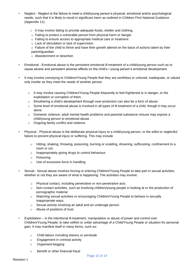- Neglect Neglect is the failure to meet a child/young person's physical, emotional and/or psychological needs, such that it is likely to result in significant harm as outlined in Children First National Guidance (Appendix 11).
	- o It may involve failing to provide adequate foods, shelter and clothing.
	- o Failing to protect a vulnerable person from physical harm or danger.
	- o Failing to ensure access to appropriate medical care or treatment
	- o Lack of stimulation or lack of supervision.
	- $\circ$  Failure of the child to thrive and have their growth altered on the basis of actions taken by their parent/guardian
	- o Abandonment or desertion
- Emotional Emotional abuse is the persistent emotional ill-treatment of a child/young person such as to cause severe and persistent adverse effects on the child's / young person's emotional development.
- It may involve conveying to Children/Young People that they are worthless or unloved, inadequate, or valued only insofar as they meet the needs of another person.
	- $\circ$  It may involve causing Children/Young People frequently to feel frightened or in danger, or the exploitation or corruption of them.
	- $\circ$  Smothering a child's development through over-protection can also be a form of abuse.
	- $\circ$  Some level of emotional abuse is involved in all types of ill-treatment of a child, though it may occur alone.
	- o Domestic violence, adult mental health problems and parental substance misuse may expose a child/young person to emotional abuse.
	- o Ongoing family conflict and violence
- Physical Physical abuse is the deliberate physical injury to a child/young person, or the wilful or neglectful failure to prevent physical injury or suffering. This may include
	- $\circ$  Hitting, shaking, throwing, poisoning, burning or scalding, drowning, suffocating, confinement to a room or cot.
	- o Inappropriately giving drugs to control behaviour.
	- o Poisoning
	- o Use of excessive force in handling
- Sexual Sexual abuse involves forcing or enticing Children/Young People to take part in sexual activities, whether or not they are aware of what is happening. The activities may involve:
	- o Physical contact, including penetrative or non-penetrative acts.
	- o Non-contact activities, such as involving children/young people in looking at or the production of pornographic material
	- o Watching sexual activities or encouraging Children/Young People to behave in sexually inappropriate ways.
	- o Sexual activity involving an adult and an underage person
	- o Abuse of positions of trust
- Exploitation is the intentional ill-treatment, manipulation or abuse of power and control over Children/Young People; to take selfish or unfair advantage of a Child/Young People or situation for personal gain. It may manifest itself in many forms, such as:
	- o Child labour including slavery or servitude
	- o Engagement in criminal activity
	- o Organised begging
	- o Benefit or other financial fraud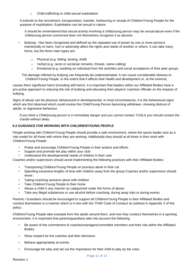Child trafficking or child sexual exploitation

It extends to the recruitment, transportation, transfer, harbouring or receipt of Children/Young People for the purpose of exploitation. Exploitation can be sexual in nature.

*It should be remembered that sexual activity involving a child/young person may be sexual abuse even if the child/young person concerned does not themselves recognise it as abusive.* 

- Bullying Has been recognised and defined as the repeated use of power by one or more persons intentionally to harm, hurt or adversely affect the rights and needs of another or others. It can take many forms, but the three main types are:
	- o Physical (e.g. hitting, kicking, theft)
	- o Verbal (e.g. racist or sectarian remarks, threats, name-calling)
	- $\circ$  Emotional (e.g. isolating an individual from the activities and social acceptance of their peer group).

The damage inflicted by bullying can frequently be underestimated. It can cause considerable distress to Children/Young People, to the extent that it affects their health and development or, at the extreme,

causes them significant harm (including self-harm). It is important that leaders within our Affiliated Bodies have a pro-active approach to reducing the risk of bullying and educating their players/ coaches/ officials on the impacts of bullying.

Signs of abuse can be physical, behavioural or developmental. In most circumstances, it is the behavioural signs which are first observed which could involve the Child/Young Person becoming withdrawn, showing distrust of adults, or regressive behaviour.

*If you think a Child/young person is in immediate danger and you cannot contact TUSLA you should contact the Gardai without delay.* 

## **6.2 GUIDANCE FOR WORKING WITH CHILDREN/YOUNG PEOPLE**

People working with Children/Young People should provide a safe environment, where the sports leader acts as a role model for all those with whom they are working. Additionally they should at all times in their work with Children/Young People:

- Praise and encourage Children/Young People in their actions and efforts
- Support and promote fair play within your club
- Understand the developmental needs of children in their care

Coaches and/or supervisors should avoid implementing the following practices with their Affiliated Bodies:

- Transporting Children/Young People on journeys alone in their car
- Spending excessive lengths of time with children away from the group Coaches and/or supervisors should never:
- Taking coaching sessions alone with children
- Take Children/Young People to their home
- Abuse a child in any manner as categorized under the forms of abuse
- Take any illegal substances or use alcohol before coaching, during away trips or during events

Parents / Guardians should be encouraged to support all Children/Young People in their Affiliated Bodies and conduct themselves in a manner which is in line with the TOWI Code of Conduct as outlined in Appendix 3 of this policy.

Children/Young People take example from the adults around them, and how they conduct themselves in a sporting environment. It is important that parents/guardians take into account the following:

- Be aware of the commitment of coaches/managers/committee members and their role within the Affiliated Bodies.
- Show respect for the coaches and their decisions.
- Behave appropriately at events.
- Encourage fair play and set out the importance for their child to play by the rules.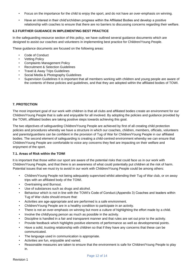- Focus on the importance for the child to enjoy the sport, and do not have an over-emphasis on winning.
- Have an interest in their child's/children progress within the Affiliated Bodies and develop a positive relationship with coaches to ensure that there are no barriers to discussing concerns regarding their welfare.

## **6.3 FURTHER GUIDANCE IN IMPLEMENTING BEST PRACTICE**

In the safeguarding resource section of this policy, we have outlined several guidance documents which are designed to assist our coaches and volunteers in implementing best practice for Children/Young People.

These guidance documents are focused on the following areas:

- Code of Conduct
- Vetting Policy
- Complaints Management Policy
- Recruitment & Selection Guidelines
- Travel & Away Trips Guidelines
- Social Media & Photography Guidelines
- Supervision Guidelines It is important that all members working with children and young people are aware of the contents of these policies and guidelines, and that they are adopted within the affiliated bodies of TOWI.

## **7. PROTECTION**

The most important goal of our work with children is that all clubs and affiliated bodies create an environment for our Children/Young People that is safe and enjoyable for all involved. By adopting the policies and guidance provided by the TOWI, affiliated bodies are taking positive steps towards achieving this goal.

The two objectives of safeguarding Children/Young People are achieved by first of all creating child protection policies and procedures whereby we have a structure in which our coaches, children, members, officials, volunteers and parents/guardians can be confident in the provision of Tug of War for Children/Young People in our affiliated bodies. The second element of safeguarding is creating a child-centred environment whereby we can ensure that Children/Young People are comfortable to voice any concerns they feel are impacting on their welfare and enjoyment of the sport.

## **7.1. Areas of Risk within the TOWI**

It is important that those within our sport are aware of the potential risks that could face us in our work with Children/Young People, and that there is an awareness of what could potentially put children at the risk of harm. Potential issues that we must try to avoid in our work with Children/Young People could be among others:

- Children/Young People not being adequately supervised whilst attending their Tug of War club, or on away trips with an affiliated body of the TOWI.
- Overtraining and Burnout.
- Use of substances such as drugs and alcohol.
- Behaviour which is not in line with the TOWI's Code of Conduct.(Appendix 3) Coaches and leaders within Tug of War clubs should ensure that:
- Activities are age-appropriate and are performed is a safe environment.
- Children/Young People are in a healthy condition to participate in an activity.
- There is not an over-emphasis on winning but more a culture of highlighting the effort made by a child.
- Involve the child/young person as much as possible in the activity.
- Discipline is handled in a fair and transparent manner and that rules are set out prior to the activity.
- Provide feedback which highlights positive elements of performance as well as developmental points.
- Have a solid, trusting relationship with children so that if they have any concerns that these can be communicated.
- The language used in communication is appropriate.
- Activities are fun, enjoyable and varied.
- Reasonable measures are taken to ensure that the environment is safe for Children/Young People to play in.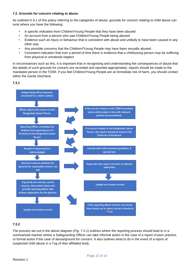## **7.2. Grounds for concern relating to abuse**

As outlined in 6.1 of this policy referring to the categories of abuse, grounds for concern relating to child abuse can exist where you have the following:

- A specific indication from Children/Young People that they have been abused
- An account from a person who saw Children/Young People being abused
- Evidence such an injury or behaviour that is consistent with abuse and unlikely to have been caused in any other way
- Any possible concerns that the Children//Young People may have been sexually abused
- Consistent indication that over a period of time there is evidence that a child/young person may be suffering from physical or emotional neglect

In circumstances such as this, it is important that in recognising and understanding the consequences of abuse that the details of such grounds for concern are recorded and reported appropriately; reports should be made to the mandated person in the TOWI. If you feel Children/Young People are at immediate risk of harm, you should contact either the Garda Siochána.





# **7.3.2**

The process set out in the above diagram (Fig. 7.3.1) outlines where the reporting process should lead to in a summarised manner where a Safeguarding Officer can take informal action in the case of a report of poor practice, or formal action if the case of abuse/ground for concern. It also outlines what to do in the event of a report of suspected child abuse in a Tug of War affiliated body.